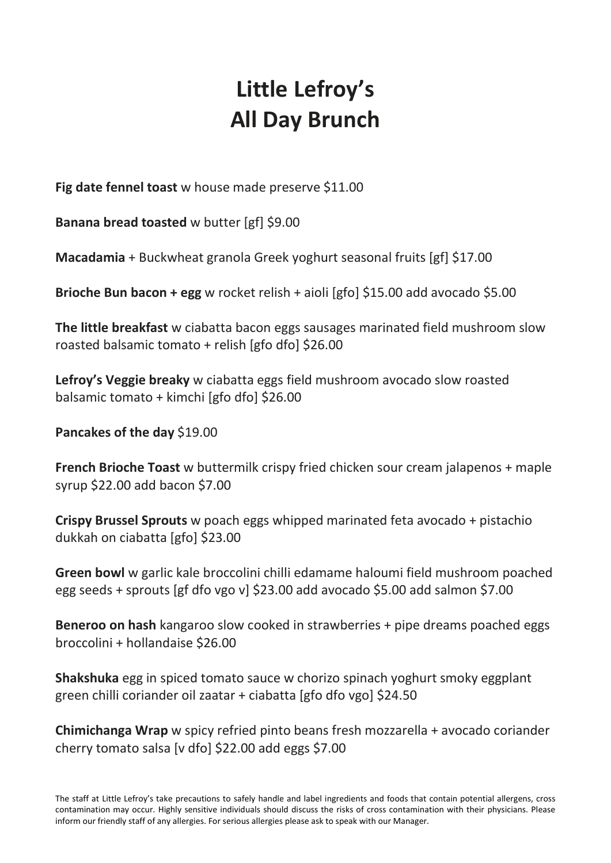# Little Lefroy's All Day Brunch

Fig date fennel toast w house made preserve \$11.00

Banana bread toasted w butter [gf] \$9.00

Macadamia + Buckwheat granola Greek yoghurt seasonal fruits [gf] \$17.00

Brioche Bun bacon + egg w rocket relish + aioli [gfo] \$15.00 add avocado \$5.00

The little breakfast w ciabatta bacon eggs sausages marinated field mushroom slow roasted balsamic tomato + relish [gfo dfo] \$26.00

Lefroy's Veggie breaky w ciabatta eggs field mushroom avocado slow roasted balsamic tomato + kimchi [gfo dfo] \$26.00

Pancakes of the day \$19.00

French Brioche Toast w buttermilk crispy fried chicken sour cream jalapenos + maple syrup \$22.00 add bacon \$7.00

Crispy Brussel Sprouts w poach eggs whipped marinated feta avocado + pistachio dukkah on ciabatta [gfo] \$23.00

Green bowl w garlic kale broccolini chilli edamame haloumi field mushroom poached egg seeds + sprouts [gf dfo vgo v] \$23.00 add avocado \$5.00 add salmon \$7.00

Beneroo on hash kangaroo slow cooked in strawberries + pipe dreams poached eggs broccolini + hollandaise \$26.00

Shakshuka egg in spiced tomato sauce w chorizo spinach yoghurt smoky eggplant green chilli coriander oil zaatar + ciabatta [gfo dfo vgo] \$24.50

Chimichanga Wrap w spicy refried pinto beans fresh mozzarella + avocado coriander cherry tomato salsa [v dfo] \$22.00 add eggs \$7.00